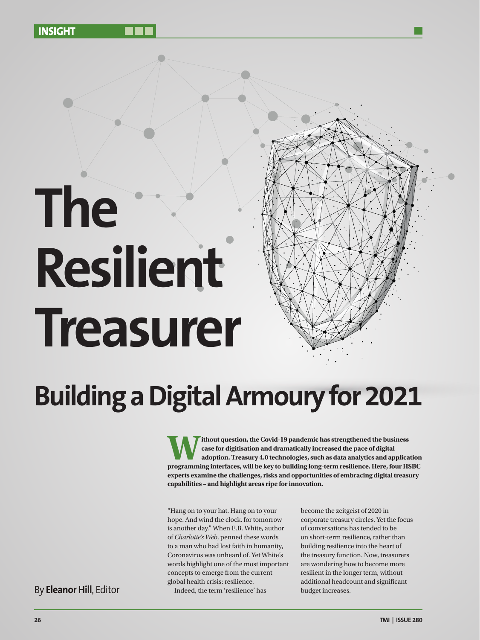# C **The Resilient Treasurer**

 $\blacksquare$ 



## **Building a Digital Armoury for 2021**

Ithout question, the Covid-19 pandemic has strengthened the business<br>case for digitisation and dramatically increased the pace of digital<br>adoption. Treasury 4.0 technologies, such as data analytics and applica<br>programming **case for digitisation and dramatically increased the pace of digital adoption. Treasury 4.0 technologies, such as data analytics and application programming interfaces, will be key to building long-term resilience. Here, four HSBC experts examine the challenges, risks and opportunities of embracing digital treasury capabilities – and highlight areas ripe for innovation.**

"Hang on to your hat. Hang on to your hope. And wind the clock, for tomorrow is another day." When E.B. White, author of *Charlotte's Web*, penned these words to a man who had lost faith in humanity, Coronavirus was unheard of. Yet White's words highlight one of the most important concepts to emerge from the current global health crisis: resilience. Indeed, the term 'resilience' has By **Eleanor Hill**, Editor **Eleanor Hill**, Editor **budget increases.** By Eleanor Hill, Editor

become the zeitgeist of 2020 in corporate treasury circles. Yet the focus of conversations has tended to be on short-term resilience, rather than building resilience into the heart of the treasury function. Now, treasurers are wondering how to become more resilient in the longer term, without additional headcount and significant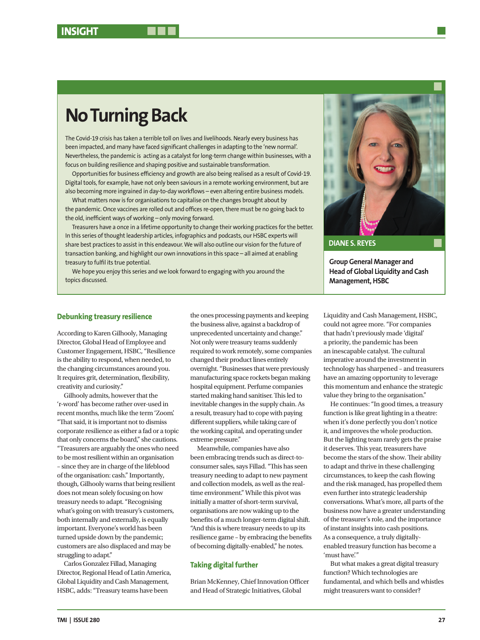### **No Turning Back**

The Covid-19 crisis has taken a terrible toll on lives and livelihoods. Nearly every business has been impacted, and many have faced significant challenges in adapting to the 'new normal'. Nevertheless, the pandemic is acting as a catalyst for long-term change within businesses, with a focus on building resilience and shaping positive and sustainable transformation.

Opportunities for business efficiency and growth are also being realised as a result of Covid-19. Digital tools, for example, have not only been saviours in a remote working environment, but are also becoming more ingrained in day-to-day workflows – even altering entire business models.

What matters now is for organisations to capitalise on the changes brought about by the pandemic. Once vaccines are rolled out and offices re-open, there must be no going back to the old, inefficient ways of working – only moving forward.

Treasurers have a once in a lifetime opportunity to change their working practices for the better. In this series of thought leadership articles, infographics and podcasts, our HSBC experts will share best practices to assist in this endeavour. We will also outline our vision for the future of transaction banking, and highlight our own innovations in this space – all aimed at enabling treasury to fulfil its true potential.

We hope you enjoy this series and we look forward to engaging with you around the topics discussed.

#### **Debunking treasury resilience**

According to Karen Gilhooly, Managing Director, Global Head of Employee and Customer Engagement, HSBC, "Resilience is the ability to respond, when needed, to the changing circumstances around you. It requires grit, determination, flexibility, creativity and curiosity."

Gilhooly admits, however that the 'r-word' has become rather over-used in recent months, much like the term 'Zoom'. "That said, it is important not to dismiss corporate resilience as either a fad or a topic that only concerns the board," she cautions. "Treasurers are arguably the ones who need to be most resilient within an organisation – since they are in charge of the lifeblood of the organisation: cash." Importantly, though, Gilhooly warns that being resilient does not mean solely focusing on how treasury needs to adapt. "Recognising what's going on with treasury's customers, both internally and externally, is equally important. Everyone's world has been turned upside down by the pandemic; customers are also displaced and may be struggling to adapt."

Carlos Gonzalez Fillad, Managing Director, Regional Head of Latin America, Global Liquidity and Cash Management, HSBC, adds: "Treasury teams have been

the ones processing payments and keeping the business alive, against a backdrop of unprecedented uncertainty and change." Not only were treasury teams suddenly required to work remotely, some companies changed their product lines entirely overnight. "Businesses that were previously manufacturing space rockets began making hospital equipment. Perfume companies started making hand sanitiser. This led to inevitable changes in the supply chain. As a result, treasury had to cope with paying different suppliers, while taking care of the working capital, and operating under extreme pressure."

Meanwhile, companies have also been embracing trends such as direct-toconsumer sales, says Fillad. "This has seen treasury needing to adapt to new payment and collection models, as well as the realtime environment." While this pivot was initially a matter of short-term survival, organisations are now waking up to the benefits of a much longer-term digital shift. "And this is where treasury needs to up its resilience game – by embracing the benefits of becoming digitally-enabled," he notes.

#### **Taking digital further**

Brian McKenney, Chief Innovation Officer and Head of Strategic Initiatives, Global

**Group General Manager and Head of Global Liquidity and Cash Management, HSBC DIANE S. REYES**

Liquidity and Cash Management, HSBC, could not agree more. "For companies that hadn't previously made 'digital' a priority, the pandemic has been an inescapable catalyst. The cultural imperative around the investment in technology has sharpened – and treasurers have an amazing opportunity to leverage this momentum and enhance the strategic value they bring to the organisation."

He continues: "In good times, a treasury function is like great lighting in a theatre: when it's done perfectly you don't notice it, and improves the whole production. But the lighting team rarely gets the praise it deserves. This year, treasurers have become the stars of the show. Their ability to adapt and thrive in these challenging circumstances, to keep the cash flowing and the risk managed, has propelled them even further into strategic leadership conversations. What's more, all parts of the business now have a greater understanding of the treasurer's role, and the importance of instant insights into cash positions. As a consequence, a truly digitallyenabled treasury function has become a 'must have."

But what makes a great digital treasury function? Which technologies are fundamental, and which bells and whistles might treasurers want to consider?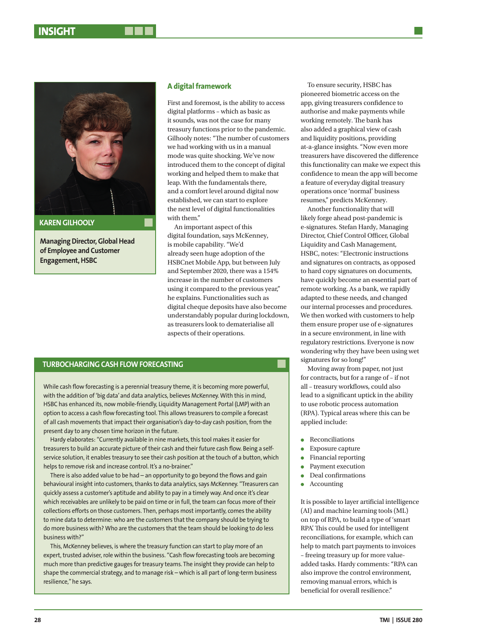

**Managing Director, Global Head of Employee and Customer Engagement, HSBC**

#### **A digital framework**

First and foremost, is the ability to access digital platforms – which as basic as it sounds, was not the case for many treasury functions prior to the pandemic. Gilhooly notes: "The number of customers we had working with us in a manual mode was quite shocking. We've now introduced them to the concept of digital working and helped them to make that leap. With the fundamentals there, and a comfort level around digital now established, we can start to explore the next level of digital functionalities with them."

An important aspect of this digital foundation, says McKenney, is mobile capability. "We'd already seen huge adoption of the HSBCnet Mobile App, but between July and September 2020, there was a 154% increase in the number of customers using it compared to the previous year," he explains. Functionalities such as digital cheque deposits have also become understandably popular during lockdown, as treasurers look to dematerialise all aspects of their operations.

#### **TURBOCHARGING CASH FLOW FORECASTING**

While cash flow forecasting is a perennial treasury theme, it is becoming more powerful, with the addition of 'big data' and data analytics, believes McKenney. With this in mind, HSBC has enhanced its, now mobile-friendly, Liquidity Management Portal (LMP) with an option to access a cash flow forecasting tool. This allows treasurers to compile a forecast of all cash movements that impact their organisation's day-to-day cash position, from the present day to any chosen time horizon in the future.

Hardy elaborates: "Currently available in nine markets, this tool makes it easier for treasurers to build an accurate picture of their cash and their future cash flow. Being a selfservice solution, it enables treasury to see their cash position at the touch of a button, which helps to remove risk and increase control. It's a no-brainer."

There is also added value to be had – an opportunity to go beyond the flows and gain behavioural insight into customers, thanks to data analytics, says McKenney. "Treasurers can quickly assess a customer's aptitude and ability to pay in a timely way. And once it's clear which receivables are unlikely to be paid on time or in full, the team can focus more of their collections efforts on those customers. Then, perhaps most importantly, comes the ability to mine data to determine: who are the customers that the company should be trying to do more business with? Who are the customers that the team should be looking to do less business with?"

This, McKenney believes, is where the treasury function can start to play more of an expert, trusted adviser, role within the business. "Cash flow forecasting tools are becoming much more than predictive gauges for treasury teams. The insight they provide can help to shape the commercial strategy, and to manage risk – which is all part of long-term business resilience," he says.

To ensure security, HSBC has pioneered biometric access on the app, giving treasurers confidence to authorise and make payments while working remotely. The bank has also added a graphical view of cash and liquidity positions, providing at-a-glance insights. "Now even more treasurers have discovered the difference this functionality can make we expect this confidence to mean the app will become a feature of everyday digital treasury operations once 'normal' business resumes," predicts McKenney.

Another functionality that will likely forge ahead post-pandemic is e-signatures. Stefan Hardy, Managing Director, Chief Control Officer, Global Liquidity and Cash Management, HSBC, notes: "Electronic instructions and signatures on contracts, as opposed to hard copy signatures on documents, have quickly become an essential part of remote working. As a bank, we rapidly adapted to these needs, and changed our internal processes and procedures. We then worked with customers to help them ensure proper use of e-signatures in a secure environment, in line with regulatory restrictions. Everyone is now wondering why they have been using wet signatures for so long!"

Moving away from paper, not just for contracts, but for a range of – if not all – treasury workflows, could also lead to a significant uptick in the ability to use robotic process automation (RPA). Typical areas where this can be applied include:

- $\bullet$  Reconciliations
- Exposure capture
- Financial reporting
- Payment execution
- $\bullet$  Deal confirmations
- **Accounting**

It is possible to layer artificial intelligence (AI) and machine learning tools (ML) on top of RPA, to build a type of 'smart RPA'. This could be used for intelligent reconciliations, for example, which can help to match part payments to invoices – freeing treasury up for more valueadded tasks. Hardy comments: "RPA can also improve the control environment, removing manual errors, which is beneficial for overall resilience."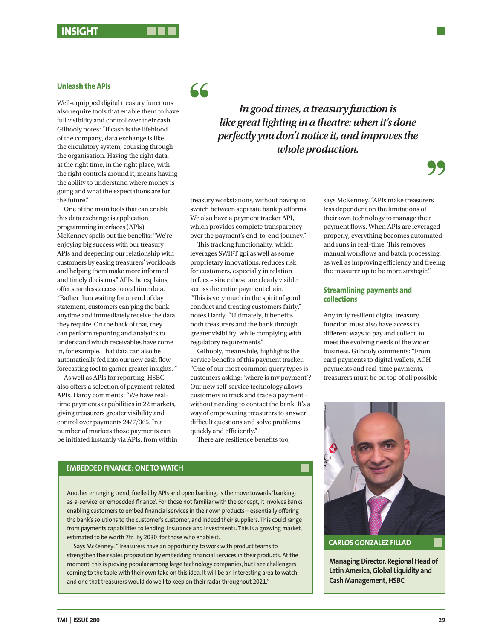#### **Unleash the APIs**

Well-equipped digital treasury functions also require tools that enable them to have full visibility and control over their cash. Gilhooly notes: "If cash is the lifeblood of the company, data exchange is like the circulatory system, coursing through the organisation. Having the right data, at the right time, in the right place, with the right controls around it, means having the ability to understand where money is going and what the expectations are for the future"

One of the main tools that can enable this data exchange is application programming interfaces (APIs). McKenney spells out the benefits: "We're enjoying big success with our treasury APIs and deepening our relationship with customers by easing treasurers' workloads and helping them make more informed and timely decisions." APIs, he explains, offer seamless access to real time data. "Rather than waiting for an end of day statement, customers can ping the bank anytime and immediately receive the data they require. On the back of that, they can perform reporting and analytics to understand which receivables have come in, for example. That data can also be automatically fed into our new cash flow forecasting tool to garner greater insights. "

As well as APIs for reporting, HSBC also offers a selection of payment-related APIs. Hardy comments: "We have realtime payments capabilities in 22 markets, giving treasurers greater visibility and control over payments 24/7/365. In a number of markets those payments can be initiated instantly via APIs, from within

*In good times, a treasury function is like great lighting in a theatre: when it's done perfectly you don't notice it, and improves the whole production.*

treasury workstations, without having to switch between separate bank platforms. We also have a payment tracker API, which provides complete transparency over the payment's end-to-end journey."

66

This tracking functionality, which leverages SWIFT gpi as well as some proprietary innovations, reduces risk for customers, especially in relation to fees – since these are clearly visible across the entire payment chain. "This is very much in the spirit of good conduct and treating customers fairly," notes Hardy. "Ultimately, it benefits both treasurers and the bank through greater visibility, while complying with regulatory requirements."

Gilhooly, meanwhile, highlights the service benefits of this payment tracker. "One of our most common query types is customers asking: 'where is my payment'? Our new self-service technology allows customers to track and trace a payment – without needing to contact the bank. It's a way of empowering treasurers to answer difficult questions and solve problems quickly and efficiently."

There are resilience benefits too,

#### **EMBEDDED FINANCE: ONE TO WATCH**

Another emerging trend, fuelled by APIs and open banking, is the move towards 'bankingas-a-service' or 'embedded finance'. For those not familiar with the concept, it involves banks enabling customers to embed financial services in their own products – essentially offering the bank's solutions to the customer's customer, and indeed their suppliers. This could range from payments capabilities to lending, insurance and investments. This is a growing market, estimated to be worth 7tr. by 2030 for those who enable it.

Says McKenney: "Treasurers have an opportunity to work with product teams to strengthen their sales proposition by embedding financial services in their products. At the moment, this is proving popular among large technology companies, but I see challengers coming to the table with their own take on this idea. It will be an interesting area to watch and one that treasurers would do well to keep on their radar throughout 2021."

says McKenney. "APIs make treasurers less dependent on the limitations of their own technology to manage their payment flows. When APIs are leveraged properly, everything becomes automated and runs in real-time. This removes manual workflows and batch processing, as well as improving efficiency and freeing the treasurer up to be more strategic."

#### **Streamlining payments and collections**

Any truly resilient digital treasury function must also have access to different ways to pay and collect, to meet the evolving needs of the wider business. Gilhooly comments: "From card payments to digital wallets, ACH payments and real-time payments, treasurers must be on top of all possible



**Managing Director, Regional Head of Latin America, Global Liquidity and Cash Management, HSBC**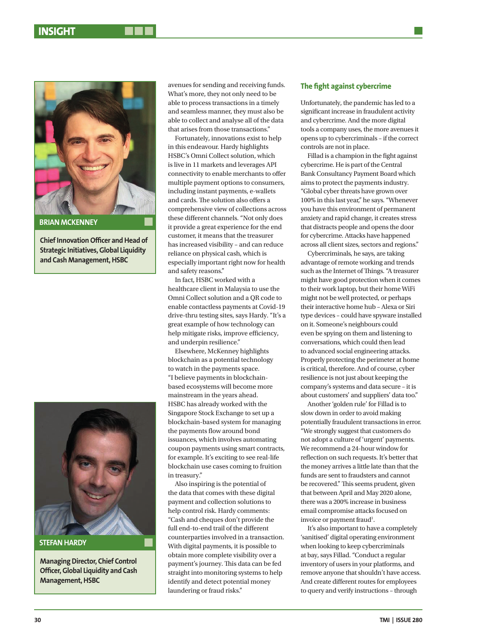

**Chief Innovation Officer and Head of Strategic Initiatives, Global Liquidity and Cash Management, HSBC**



#### **STEFAN HARDY**

**Managing Director, Chief Control Officer, Global Liquidity and Cash Management, HSBC**

avenues for sending and receiving funds. What's more, they not only need to be able to process transactions in a timely and seamless manner, they must also be able to collect and analyse all of the data that arises from those transactions."

Fortunately, innovations exist to help in this endeavour. Hardy highlights HSBC's Omni Collect solution, which is live in 11 markets and leverages API connectivity to enable merchants to offer multiple payment options to consumers, including instant payments, e-wallets and cards. The solution also offers a comprehensive view of collections across these different channels. "Not only does it provide a great experience for the end customer, it means that the treasurer has increased visibility – and can reduce reliance on physical cash, which is especially important right now for health and safety reasons."

In fact, HSBC worked with a healthcare client in Malaysia to use the Omni Collect solution and a QR code to enable contactless payments at Covid-19 drive-thru testing sites, says Hardy. "It's a great example of how technology can help mitigate risks, improve efficiency, and underpin resilience."

Elsewhere, McKenney highlights blockchain as a potential technology to watch in the payments space. "I believe payments in blockchainbased ecosystems will become more mainstream in the years ahead. HSBC has already worked with the Singapore Stock Exchange to set up a blockchain-based system for managing the payments flow around bond issuances, which involves automating coupon payments using smart contracts, for example. It's exciting to see real-life blockchain use cases coming to fruition in treasury."

Also inspiring is the potential of the data that comes with these digital payment and collection solutions to help control risk. Hardy comments: "Cash and cheques don't provide the full end-to-end trail of the different counterparties involved in a transaction. With digital payments, it is possible to obtain more complete visibility over a payment's journey. This data can be fed straight into monitoring systems to help identify and detect potential money laundering or fraud risks."

#### **The fight against cybercrime**

Unfortunately, the pandemic has led to a significant increase in fraudulent activity and cybercrime. And the more digital tools a company uses, the more avenues it opens up to cybercriminals – if the correct controls are not in place.

Fillad is a champion in the fight against cybercrime. He is part of the Central Bank Consultancy Payment Board which aims to protect the payments industry. "Global cyber threats have grown over 100% in this last year," he says. "Whenever you have this environment of permanent anxiety and rapid change, it creates stress that distracts people and opens the door for cybercrime. Attacks have happened across all client sizes, sectors and regions."

Cybercriminals, he says, are taking advantage of remote working and trends such as the Internet of Things. "A treasurer might have good protection when it comes to their work laptop, but their home WiFi might not be well protected, or perhaps their interactive home hub – Alexa or Siri type devices – could have spyware installed on it. Someone's neighbours could even be spying on them and listening to conversations, which could then lead to advanced social engineering attacks. Properly protecting the perimeter at home is critical, therefore. And of course, cyber resilience is not just about keeping the company's systems and data secure – it is about customers' and suppliers' data too."

Another 'golden rule' for Fillad is to slow down in order to avoid making potentially fraudulent transactions in error. "We strongly suggest that customers do not adopt a culture of 'urgent' payments. We recommend a 24-hour window for reflection on such requests. It's better that the money arrives a little late than that the funds are sent to fraudsters and cannot be recovered." This seems prudent, given that between April and May 2020 alone, there was a 200% increase in business email compromise attacks focused on invoice or payment fraud<sup>1</sup>.

It's also important to have a completely 'sanitised' digital operating environment when looking to keep cybercriminals at bay, says Fillad. "Conduct a regular inventory of users in your platforms, and remove anyone that shouldn't have access. And create different routes for employees to query and verify instructions – through